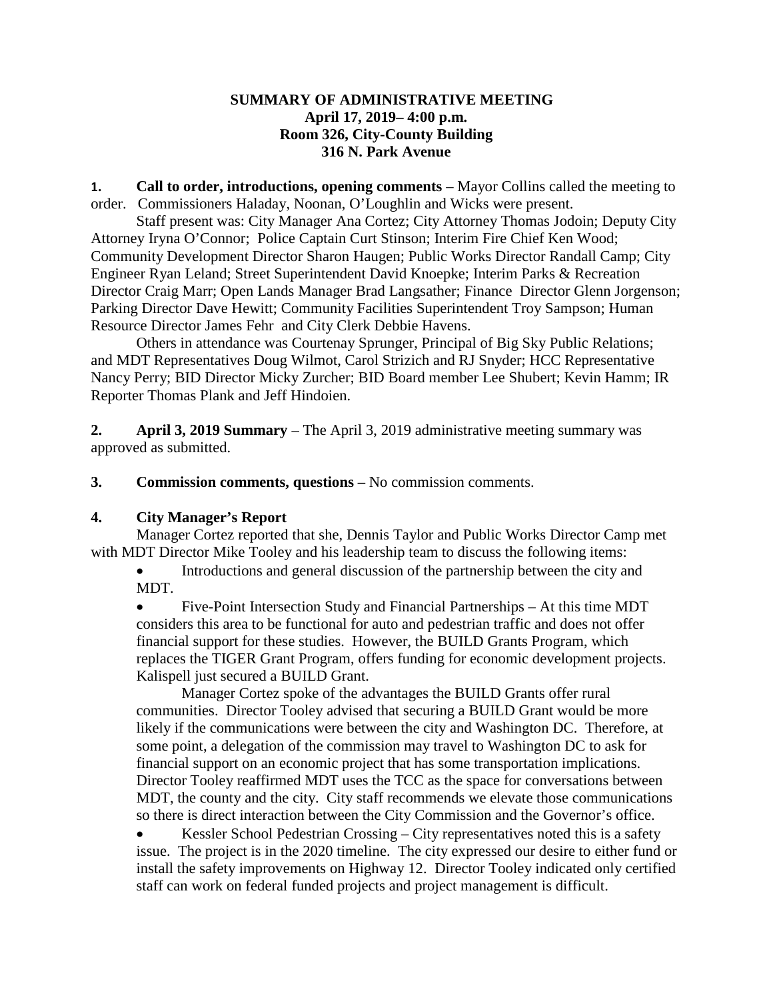## **SUMMARY OF ADMINISTRATIVE MEETING April 17, 2019– 4:00 p.m. Room 326, City-County Building 316 N. Park Avenue**

**1. Call to order, introductions, opening comments** – Mayor Collins called the meeting to order. Commissioners Haladay, Noonan, O'Loughlin and Wicks were present.

Staff present was: City Manager Ana Cortez; City Attorney Thomas Jodoin; Deputy City Attorney Iryna O'Connor; Police Captain Curt Stinson; Interim Fire Chief Ken Wood; Community Development Director Sharon Haugen; Public Works Director Randall Camp; City Engineer Ryan Leland; Street Superintendent David Knoepke; Interim Parks & Recreation Director Craig Marr; Open Lands Manager Brad Langsather; Finance Director Glenn Jorgenson; Parking Director Dave Hewitt; Community Facilities Superintendent Troy Sampson; Human Resource Director James Fehr and City Clerk Debbie Havens.

Others in attendance was Courtenay Sprunger, Principal of Big Sky Public Relations; and MDT Representatives Doug Wilmot, Carol Strizich and RJ Snyder; HCC Representative Nancy Perry; BID Director Micky Zurcher; BID Board member Lee Shubert; Kevin Hamm; IR Reporter Thomas Plank and Jeff Hindoien.

**2. April 3, 2019 Summary** – The April 3, 2019 administrative meeting summary was approved as submitted.

**3. Commission comments, questions –** No commission comments.

## **4. City Manager's Report**

Manager Cortez reported that she, Dennis Taylor and Public Works Director Camp met with MDT Director Mike Tooley and his leadership team to discuss the following items:

• Introductions and general discussion of the partnership between the city and MDT.

• Five-Point Intersection Study and Financial Partnerships – At this time MDT considers this area to be functional for auto and pedestrian traffic and does not offer financial support for these studies. However, the BUILD Grants Program, which replaces the TIGER Grant Program, offers funding for economic development projects. Kalispell just secured a BUILD Grant.

Manager Cortez spoke of the advantages the BUILD Grants offer rural communities. Director Tooley advised that securing a BUILD Grant would be more likely if the communications were between the city and Washington DC. Therefore, at some point, a delegation of the commission may travel to Washington DC to ask for financial support on an economic project that has some transportation implications. Director Tooley reaffirmed MDT uses the TCC as the space for conversations between MDT, the county and the city. City staff recommends we elevate those communications so there is direct interaction between the City Commission and the Governor's office.

• Kessler School Pedestrian Crossing – City representatives noted this is a safety issue. The project is in the 2020 timeline. The city expressed our desire to either fund or install the safety improvements on Highway 12. Director Tooley indicated only certified staff can work on federal funded projects and project management is difficult.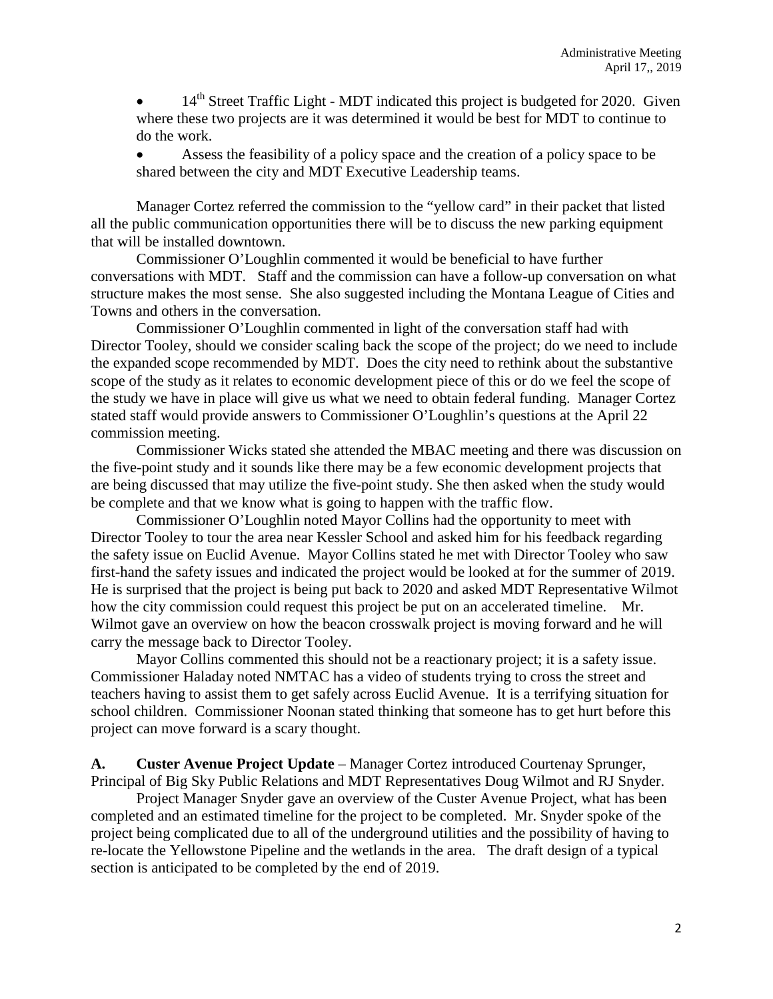14<sup>th</sup> Street Traffic Light - MDT indicated this project is budgeted for 2020. Given where these two projects are it was determined it would be best for MDT to continue to do the work.

• Assess the feasibility of a policy space and the creation of a policy space to be shared between the city and MDT Executive Leadership teams.

Manager Cortez referred the commission to the "yellow card" in their packet that listed all the public communication opportunities there will be to discuss the new parking equipment that will be installed downtown.

Commissioner O'Loughlin commented it would be beneficial to have further conversations with MDT. Staff and the commission can have a follow-up conversation on what structure makes the most sense. She also suggested including the Montana League of Cities and Towns and others in the conversation.

Commissioner O'Loughlin commented in light of the conversation staff had with Director Tooley, should we consider scaling back the scope of the project; do we need to include the expanded scope recommended by MDT. Does the city need to rethink about the substantive scope of the study as it relates to economic development piece of this or do we feel the scope of the study we have in place will give us what we need to obtain federal funding. Manager Cortez stated staff would provide answers to Commissioner O'Loughlin's questions at the April 22 commission meeting.

Commissioner Wicks stated she attended the MBAC meeting and there was discussion on the five-point study and it sounds like there may be a few economic development projects that are being discussed that may utilize the five-point study. She then asked when the study would be complete and that we know what is going to happen with the traffic flow.

Commissioner O'Loughlin noted Mayor Collins had the opportunity to meet with Director Tooley to tour the area near Kessler School and asked him for his feedback regarding the safety issue on Euclid Avenue. Mayor Collins stated he met with Director Tooley who saw first-hand the safety issues and indicated the project would be looked at for the summer of 2019. He is surprised that the project is being put back to 2020 and asked MDT Representative Wilmot how the city commission could request this project be put on an accelerated timeline. Mr. Wilmot gave an overview on how the beacon crosswalk project is moving forward and he will carry the message back to Director Tooley.

Mayor Collins commented this should not be a reactionary project; it is a safety issue. Commissioner Haladay noted NMTAC has a video of students trying to cross the street and teachers having to assist them to get safely across Euclid Avenue. It is a terrifying situation for school children. Commissioner Noonan stated thinking that someone has to get hurt before this project can move forward is a scary thought.

**A. Custer Avenue Project Update** – Manager Cortez introduced Courtenay Sprunger, Principal of Big Sky Public Relations and MDT Representatives Doug Wilmot and RJ Snyder.

Project Manager Snyder gave an overview of the Custer Avenue Project, what has been completed and an estimated timeline for the project to be completed. Mr. Snyder spoke of the project being complicated due to all of the underground utilities and the possibility of having to re-locate the Yellowstone Pipeline and the wetlands in the area. The draft design of a typical section is anticipated to be completed by the end of 2019.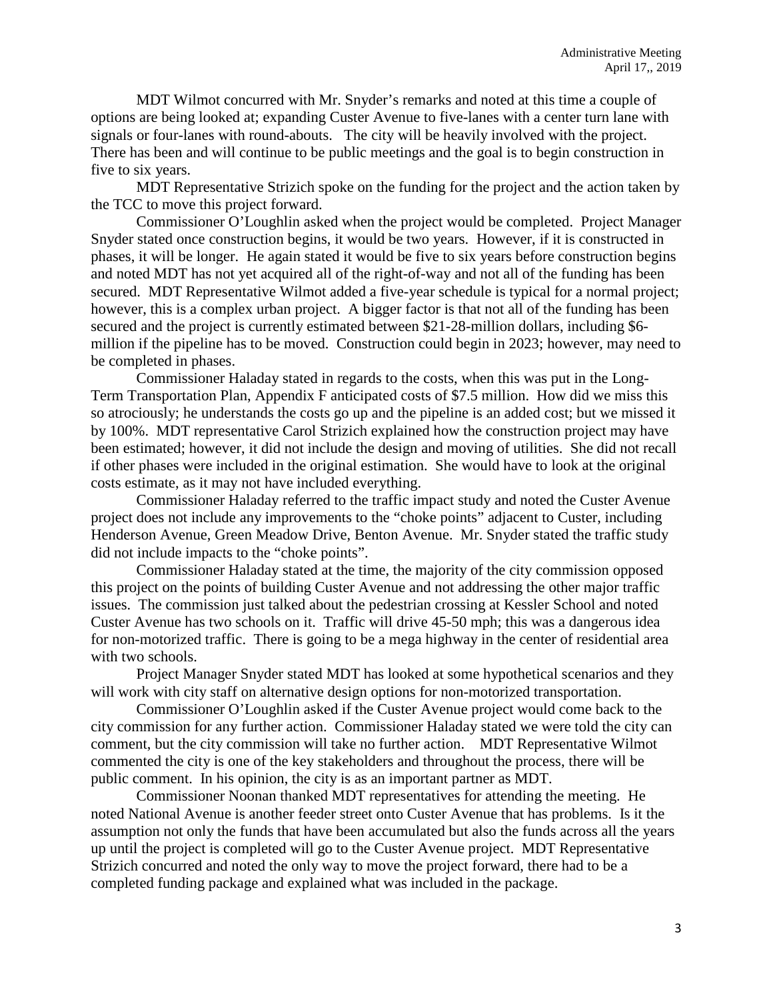MDT Wilmot concurred with Mr. Snyder's remarks and noted at this time a couple of options are being looked at; expanding Custer Avenue to five-lanes with a center turn lane with signals or four-lanes with round-abouts. The city will be heavily involved with the project. There has been and will continue to be public meetings and the goal is to begin construction in five to six years.

MDT Representative Strizich spoke on the funding for the project and the action taken by the TCC to move this project forward.

Commissioner O'Loughlin asked when the project would be completed. Project Manager Snyder stated once construction begins, it would be two years. However, if it is constructed in phases, it will be longer. He again stated it would be five to six years before construction begins and noted MDT has not yet acquired all of the right-of-way and not all of the funding has been secured. MDT Representative Wilmot added a five-year schedule is typical for a normal project; however, this is a complex urban project. A bigger factor is that not all of the funding has been secured and the project is currently estimated between \$21-28-million dollars, including \$6million if the pipeline has to be moved. Construction could begin in 2023; however, may need to be completed in phases.

Commissioner Haladay stated in regards to the costs, when this was put in the Long-Term Transportation Plan, Appendix F anticipated costs of \$7.5 million. How did we miss this so atrociously; he understands the costs go up and the pipeline is an added cost; but we missed it by 100%. MDT representative Carol Strizich explained how the construction project may have been estimated; however, it did not include the design and moving of utilities. She did not recall if other phases were included in the original estimation. She would have to look at the original costs estimate, as it may not have included everything.

Commissioner Haladay referred to the traffic impact study and noted the Custer Avenue project does not include any improvements to the "choke points" adjacent to Custer, including Henderson Avenue, Green Meadow Drive, Benton Avenue. Mr. Snyder stated the traffic study did not include impacts to the "choke points".

Commissioner Haladay stated at the time, the majority of the city commission opposed this project on the points of building Custer Avenue and not addressing the other major traffic issues. The commission just talked about the pedestrian crossing at Kessler School and noted Custer Avenue has two schools on it. Traffic will drive 45-50 mph; this was a dangerous idea for non-motorized traffic. There is going to be a mega highway in the center of residential area with two schools.

Project Manager Snyder stated MDT has looked at some hypothetical scenarios and they will work with city staff on alternative design options for non-motorized transportation.

Commissioner O'Loughlin asked if the Custer Avenue project would come back to the city commission for any further action. Commissioner Haladay stated we were told the city can comment, but the city commission will take no further action. MDT Representative Wilmot commented the city is one of the key stakeholders and throughout the process, there will be public comment. In his opinion, the city is as an important partner as MDT.

Commissioner Noonan thanked MDT representatives for attending the meeting. He noted National Avenue is another feeder street onto Custer Avenue that has problems. Is it the assumption not only the funds that have been accumulated but also the funds across all the years up until the project is completed will go to the Custer Avenue project. MDT Representative Strizich concurred and noted the only way to move the project forward, there had to be a completed funding package and explained what was included in the package.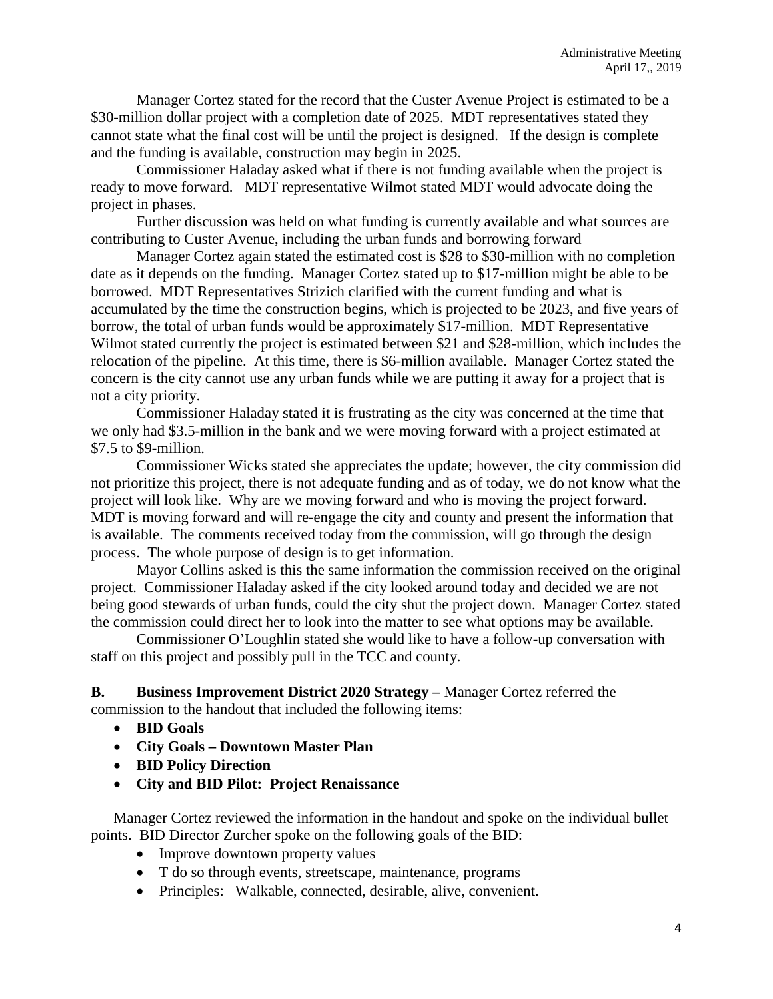Manager Cortez stated for the record that the Custer Avenue Project is estimated to be a \$30-million dollar project with a completion date of 2025. MDT representatives stated they cannot state what the final cost will be until the project is designed. If the design is complete and the funding is available, construction may begin in 2025.

Commissioner Haladay asked what if there is not funding available when the project is ready to move forward. MDT representative Wilmot stated MDT would advocate doing the project in phases.

Further discussion was held on what funding is currently available and what sources are contributing to Custer Avenue, including the urban funds and borrowing forward

Manager Cortez again stated the estimated cost is \$28 to \$30-million with no completion date as it depends on the funding. Manager Cortez stated up to \$17-million might be able to be borrowed. MDT Representatives Strizich clarified with the current funding and what is accumulated by the time the construction begins, which is projected to be 2023, and five years of borrow, the total of urban funds would be approximately \$17-million. MDT Representative Wilmot stated currently the project is estimated between \$21 and \$28-million, which includes the relocation of the pipeline. At this time, there is \$6-million available. Manager Cortez stated the concern is the city cannot use any urban funds while we are putting it away for a project that is not a city priority.

Commissioner Haladay stated it is frustrating as the city was concerned at the time that we only had \$3.5-million in the bank and we were moving forward with a project estimated at \$7.5 to \$9-million.

Commissioner Wicks stated she appreciates the update; however, the city commission did not prioritize this project, there is not adequate funding and as of today, we do not know what the project will look like. Why are we moving forward and who is moving the project forward. MDT is moving forward and will re-engage the city and county and present the information that is available. The comments received today from the commission, will go through the design process. The whole purpose of design is to get information.

Mayor Collins asked is this the same information the commission received on the original project. Commissioner Haladay asked if the city looked around today and decided we are not being good stewards of urban funds, could the city shut the project down. Manager Cortez stated the commission could direct her to look into the matter to see what options may be available.

Commissioner O'Loughlin stated she would like to have a follow-up conversation with staff on this project and possibly pull in the TCC and county.

**B. Business Improvement District 2020 Strategy –** Manager Cortez referred the commission to the handout that included the following items:

- **BID Goals**
- **City Goals – Downtown Master Plan**
- **BID Policy Direction**
- **City and BID Pilot: Project Renaissance**

Manager Cortez reviewed the information in the handout and spoke on the individual bullet points. BID Director Zurcher spoke on the following goals of the BID:

- Improve downtown property values
- T do so through events, streetscape, maintenance, programs
- Principles: Walkable, connected, desirable, alive, convenient.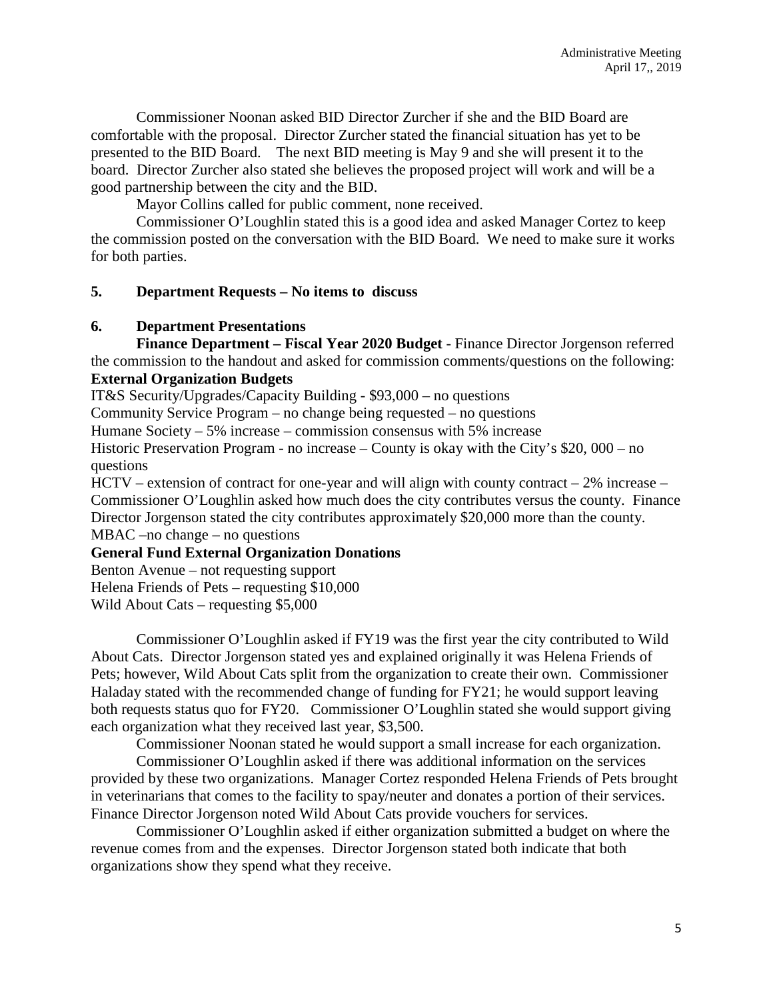Commissioner Noonan asked BID Director Zurcher if she and the BID Board are comfortable with the proposal. Director Zurcher stated the financial situation has yet to be presented to the BID Board. The next BID meeting is May 9 and she will present it to the board. Director Zurcher also stated she believes the proposed project will work and will be a good partnership between the city and the BID.

Mayor Collins called for public comment, none received.

Commissioner O'Loughlin stated this is a good idea and asked Manager Cortez to keep the commission posted on the conversation with the BID Board. We need to make sure it works for both parties.

## **5. Department Requests – No items to discuss**

#### **6. Department Presentations**

**Finance Department – Fiscal Year 2020 Budget** - Finance Director Jorgenson referred the commission to the handout and asked for commission comments/questions on the following: **External Organization Budgets**

IT&S Security/Upgrades/Capacity Building - \$93,000 – no questions

Community Service Program – no change being requested – no questions

Humane Society  $-5\%$  increase – commission consensus with 5% increase

Historic Preservation Program - no increase – County is okay with the City's \$20, 000 – no questions

 $HCTV -$  extension of contract for one-year and will align with county contract  $-2\%$  increase – Commissioner O'Loughlin asked how much does the city contributes versus the county. Finance Director Jorgenson stated the city contributes approximately \$20,000 more than the county.

MBAC –no change – no questions

# **General Fund External Organization Donations**

Benton Avenue – not requesting support

Helena Friends of Pets – requesting \$10,000

Wild About Cats – requesting \$5,000

Commissioner O'Loughlin asked if FY19 was the first year the city contributed to Wild About Cats. Director Jorgenson stated yes and explained originally it was Helena Friends of Pets; however, Wild About Cats split from the organization to create their own. Commissioner Haladay stated with the recommended change of funding for FY21; he would support leaving both requests status quo for FY20. Commissioner O'Loughlin stated she would support giving each organization what they received last year, \$3,500.

Commissioner Noonan stated he would support a small increase for each organization.

Commissioner O'Loughlin asked if there was additional information on the services provided by these two organizations. Manager Cortez responded Helena Friends of Pets brought in veterinarians that comes to the facility to spay/neuter and donates a portion of their services. Finance Director Jorgenson noted Wild About Cats provide vouchers for services.

Commissioner O'Loughlin asked if either organization submitted a budget on where the revenue comes from and the expenses. Director Jorgenson stated both indicate that both organizations show they spend what they receive.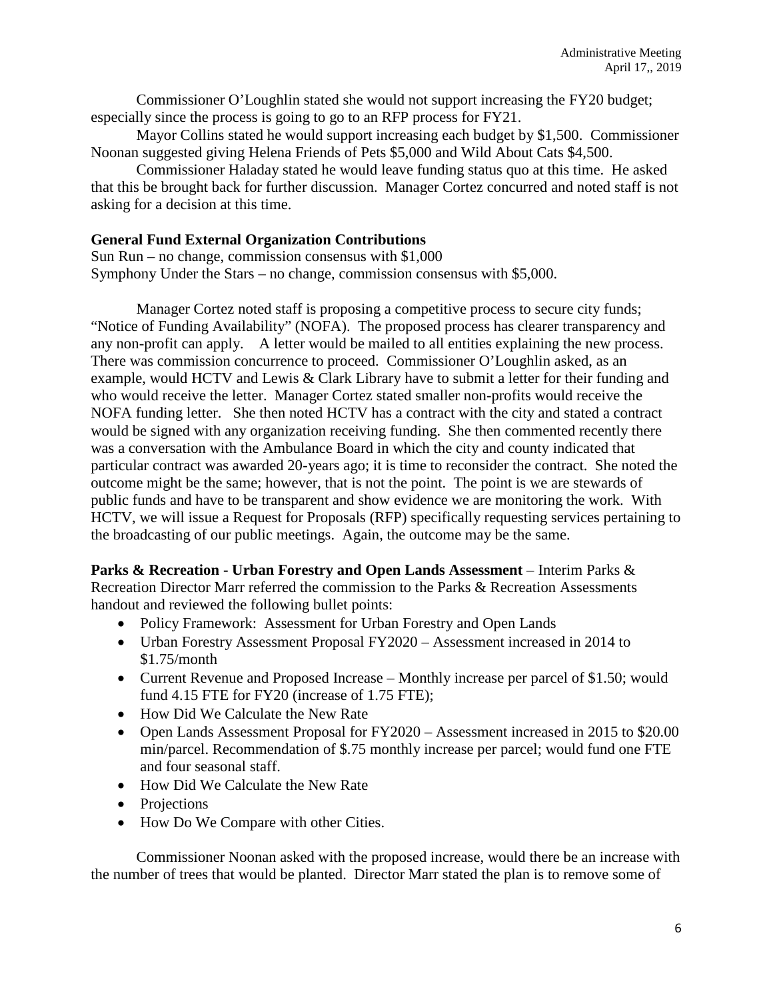Commissioner O'Loughlin stated she would not support increasing the FY20 budget; especially since the process is going to go to an RFP process for FY21.

Mayor Collins stated he would support increasing each budget by \$1,500. Commissioner Noonan suggested giving Helena Friends of Pets \$5,000 and Wild About Cats \$4,500.

Commissioner Haladay stated he would leave funding status quo at this time. He asked that this be brought back for further discussion. Manager Cortez concurred and noted staff is not asking for a decision at this time.

## **General Fund External Organization Contributions**

Sun Run – no change, commission consensus with  $$1,000$ Symphony Under the Stars – no change, commission consensus with \$5,000.

Manager Cortez noted staff is proposing a competitive process to secure city funds; "Notice of Funding Availability" (NOFA). The proposed process has clearer transparency and any non-profit can apply. A letter would be mailed to all entities explaining the new process. There was commission concurrence to proceed. Commissioner O'Loughlin asked, as an example, would HCTV and Lewis & Clark Library have to submit a letter for their funding and who would receive the letter. Manager Cortez stated smaller non-profits would receive the NOFA funding letter. She then noted HCTV has a contract with the city and stated a contract would be signed with any organization receiving funding. She then commented recently there was a conversation with the Ambulance Board in which the city and county indicated that particular contract was awarded 20-years ago; it is time to reconsider the contract. She noted the outcome might be the same; however, that is not the point. The point is we are stewards of public funds and have to be transparent and show evidence we are monitoring the work. With HCTV, we will issue a Request for Proposals (RFP) specifically requesting services pertaining to the broadcasting of our public meetings. Again, the outcome may be the same.

**Parks & Recreation - Urban Forestry and Open Lands Assessment** – Interim Parks & Recreation Director Marr referred the commission to the Parks & Recreation Assessments handout and reviewed the following bullet points:

- Policy Framework: Assessment for Urban Forestry and Open Lands
- Urban Forestry Assessment Proposal FY2020 Assessment increased in 2014 to \$1.75/month
- Current Revenue and Proposed Increase Monthly increase per parcel of \$1.50; would fund 4.15 FTE for FY20 (increase of 1.75 FTE);
- How Did We Calculate the New Rate
- Open Lands Assessment Proposal for FY2020 Assessment increased in 2015 to \$20.00 min/parcel. Recommendation of \$.75 monthly increase per parcel; would fund one FTE and four seasonal staff.
- How Did We Calculate the New Rate
- Projections
- How Do We Compare with other Cities.

Commissioner Noonan asked with the proposed increase, would there be an increase with the number of trees that would be planted. Director Marr stated the plan is to remove some of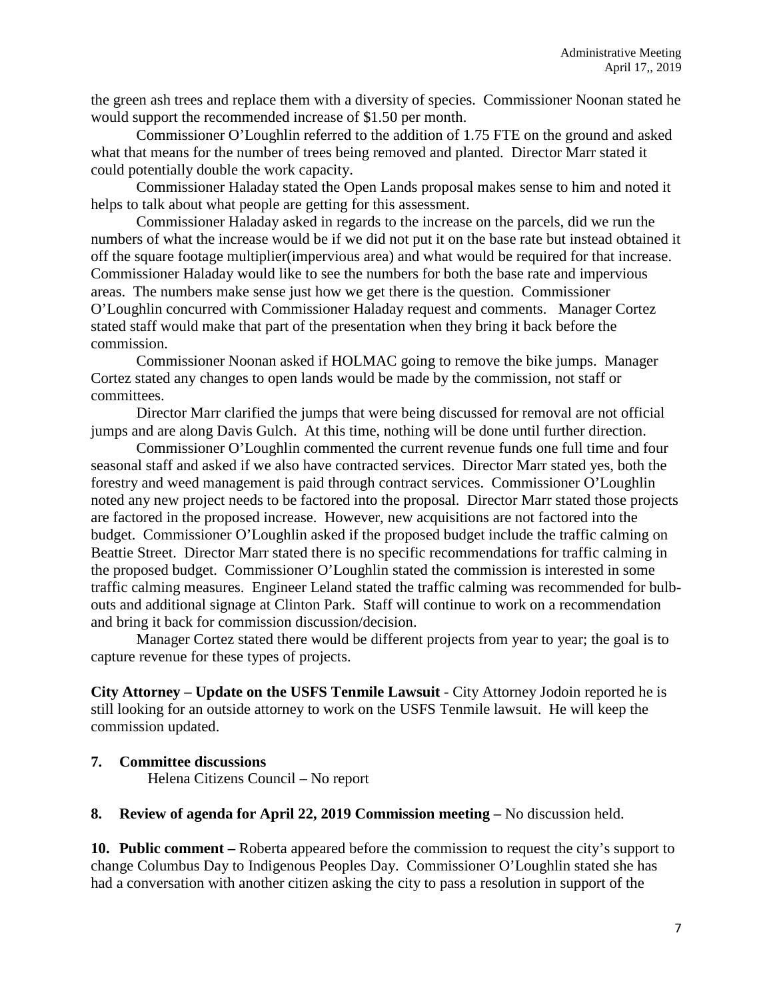the green ash trees and replace them with a diversity of species. Commissioner Noonan stated he would support the recommended increase of \$1.50 per month.

Commissioner O'Loughlin referred to the addition of 1.75 FTE on the ground and asked what that means for the number of trees being removed and planted. Director Marr stated it could potentially double the work capacity.

Commissioner Haladay stated the Open Lands proposal makes sense to him and noted it helps to talk about what people are getting for this assessment.

Commissioner Haladay asked in regards to the increase on the parcels, did we run the numbers of what the increase would be if we did not put it on the base rate but instead obtained it off the square footage multiplier(impervious area) and what would be required for that increase. Commissioner Haladay would like to see the numbers for both the base rate and impervious areas. The numbers make sense just how we get there is the question. Commissioner O'Loughlin concurred with Commissioner Haladay request and comments. Manager Cortez stated staff would make that part of the presentation when they bring it back before the commission.

Commissioner Noonan asked if HOLMAC going to remove the bike jumps. Manager Cortez stated any changes to open lands would be made by the commission, not staff or committees.

Director Marr clarified the jumps that were being discussed for removal are not official jumps and are along Davis Gulch. At this time, nothing will be done until further direction.

Commissioner O'Loughlin commented the current revenue funds one full time and four seasonal staff and asked if we also have contracted services. Director Marr stated yes, both the forestry and weed management is paid through contract services. Commissioner O'Loughlin noted any new project needs to be factored into the proposal. Director Marr stated those projects are factored in the proposed increase. However, new acquisitions are not factored into the budget. Commissioner O'Loughlin asked if the proposed budget include the traffic calming on Beattie Street. Director Marr stated there is no specific recommendations for traffic calming in the proposed budget. Commissioner O'Loughlin stated the commission is interested in some traffic calming measures. Engineer Leland stated the traffic calming was recommended for bulbouts and additional signage at Clinton Park. Staff will continue to work on a recommendation and bring it back for commission discussion/decision.

Manager Cortez stated there would be different projects from year to year; the goal is to capture revenue for these types of projects.

**City Attorney – Update on the USFS Tenmile Lawsuit** - City Attorney Jodoin reported he is still looking for an outside attorney to work on the USFS Tenmile lawsuit. He will keep the commission updated.

**7. Committee discussions** 

Helena Citizens Council – No report

**8. Review of agenda for April 22, 2019 Commission meeting –** No discussion held.

**10. Public comment –** Roberta appeared before the commission to request the city's support to change Columbus Day to Indigenous Peoples Day. Commissioner O'Loughlin stated she has had a conversation with another citizen asking the city to pass a resolution in support of the